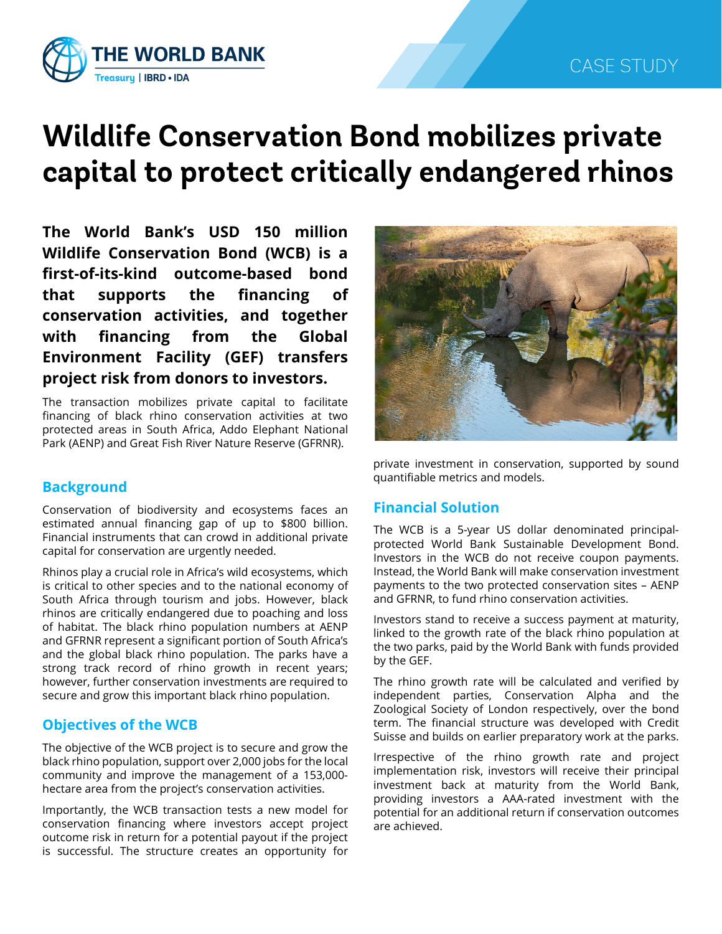

# **Wildlife Conservation Bond mobilizes private capital to protect critically endangered rhinos**

**The World Bank's USD 150 million Wildlife Conservation Bond (WCB) is a first-of-its-kind outcome-based bond that supports the financing of conservation activities, and together with financing from the Global Environment Facility (GEF) transfers project risk from donors to investors.**

The transaction mobilizes private capital to facilitate financing of black rhino conservation activities at two protected areas in South Africa, Addo Elephant National Park (AENP) and Great Fish River Nature Reserve (GFRNR).

## **Background**

Conservation of biodiversity and ecosystems faces an estimated annual financing gap of up to \$800 billion. Financial instruments that can crowd in additional private capital for conservation are urgently needed.

Rhinos play a crucial role in Africa's wild ecosystems, which is critical to other species and to the national economy of South Africa through tourism and jobs. However, black rhinos are critically endangered due to poaching and loss of habitat. The black rhino population numbers at AENP and GFRNR represent a significant portion of South Africa's and the global black rhino population. The parks have a strong track record of rhino growth in recent years; however, further conservation investments are required to secure and grow this important black rhino population.

# **Objectives of the WCB**

The objective of the WCB project is to secure and grow the black rhino population, support over 2,000 jobs for the local community and improve the management of a 153,000 hectare area from the project's conservation activities.

Importantly, the WCB transaction tests a new model for conservation financing where investors accept project outcome risk in return for a potential payout if the project is successful. The structure creates an opportunity for



private investment in conservation, supported by sound quantifiable metrics and models.

### **Financial Solution**

The WCB is a 5-year US dollar denominated principalprotected World Bank Sustainable Development Bond. Investors in the WCB do not receive coupon payments. Instead, the World Bank will make conservation investment payments to the two protected conservation sites – AENP and GFRNR, to fund rhino conservation activities.

Investors stand to receive a success payment at maturity, linked to the growth rate of the black rhino population at the two parks, paid by the World Bank with funds provided by the GEF.

The rhino growth rate will be calculated and verified by independent parties, Conservation Alpha and the Zoological Society of London respectively, over the bond term. The financial structure was developed with Credit Suisse and builds on earlier preparatory work at the parks.

Irrespective of the rhino growth rate and project implementation risk, investors will receive their principal investment back at maturity from the World Bank, providing investors a AAA-rated investment with the potential for an additional return if conservation outcomes are achieved.